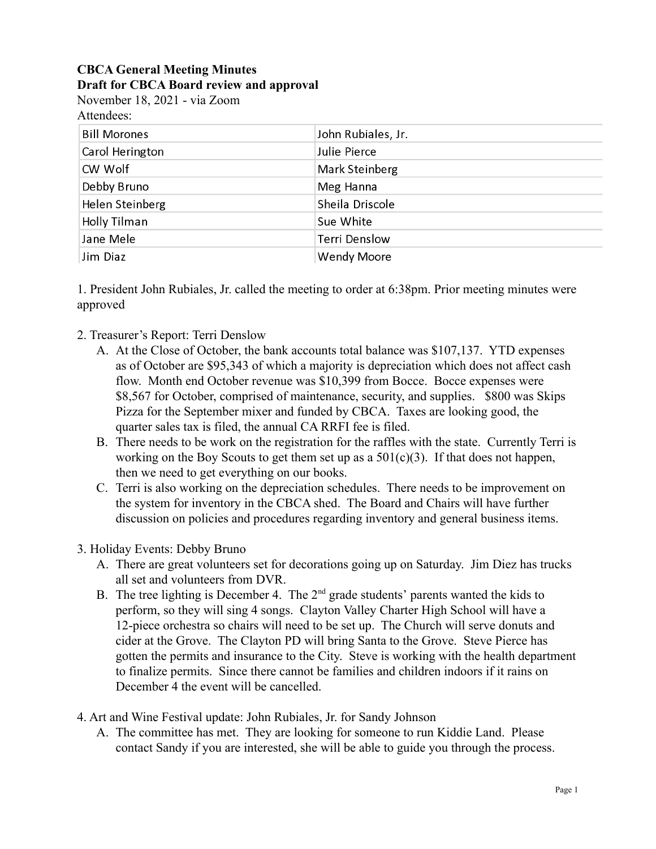## **CBCA General Meeting Minutes Draft for CBCA Board review and approval**

November 18, 2021 - via Zoom Attendees:

| <b>Bill Morones</b> | John Rubiales, Jr.   |
|---------------------|----------------------|
| Carol Herington     | Julie Pierce         |
| CW Wolf             | Mark Steinberg       |
| Debby Bruno         | Meg Hanna            |
| Helen Steinberg     | Sheila Driscole      |
| Holly Tilman        | Sue White            |
| Jane Mele           | <b>Terri Denslow</b> |
| Jim Diaz            | <b>Wendy Moore</b>   |

1. President John Rubiales, Jr. called the meeting to order at 6:38pm. Prior meeting minutes were approved

- 2. Treasurer's Report: Terri Denslow
	- A. At the Close of October, the bank accounts total balance was \$107,137. YTD expenses as of October are \$95,343 of which a majority is depreciation which does not affect cash flow. Month end October revenue was \$10,399 from Bocce. Bocce expenses were \$8,567 for October, comprised of maintenance, security, and supplies. \$800 was Skips Pizza for the September mixer and funded by CBCA. Taxes are looking good, the quarter sales tax is filed, the annual CA RRFI fee is filed.
	- B. There needs to be work on the registration for the raffles with the state. Currently Terri is working on the Boy Scouts to get them set up as a  $501(c)(3)$ . If that does not happen, then we need to get everything on our books.
	- C. Terri is also working on the depreciation schedules. There needs to be improvement on the system for inventory in the CBCA shed. The Board and Chairs will have further discussion on policies and procedures regarding inventory and general business items.
- 3. Holiday Events: Debby Bruno
	- A. There are great volunteers set for decorations going up on Saturday. Jim Diez has trucks all set and volunteers from DVR.
	- B. The tree lighting is December 4. The  $2<sup>nd</sup>$  grade students' parents wanted the kids to perform, so they will sing 4 songs. Clayton Valley Charter High School will have a 12-piece orchestra so chairs will need to be set up. The Church will serve donuts and cider at the Grove. The Clayton PD will bring Santa to the Grove. Steve Pierce has gotten the permits and insurance to the City. Steve is working with the health department to finalize permits. Since there cannot be families and children indoors if it rains on December 4 the event will be cancelled.
- 4. Art and Wine Festival update: John Rubiales, Jr. for Sandy Johnson
	- A. The committee has met. They are looking for someone to run Kiddie Land. Please contact Sandy if you are interested, she will be able to guide you through the process.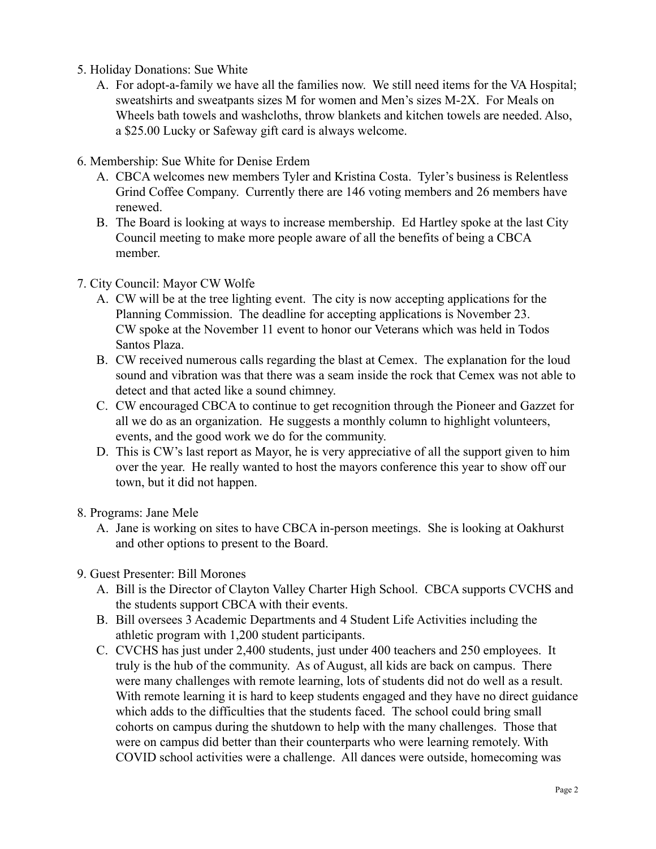- 5. Holiday Donations: Sue White
	- A. For adopt-a-family we have all the families now. We still need items for the VA Hospital; sweatshirts and sweatpants sizes M for women and Men's sizes M-2X. For Meals on Wheels bath towels and washcloths, throw blankets and kitchen towels are needed. Also, a \$25.00 Lucky or Safeway gift card is always welcome.
- 6. Membership: Sue White for Denise Erdem
	- A. CBCA welcomes new members Tyler and Kristina Costa. Tyler's business is Relentless Grind Coffee Company. Currently there are 146 voting members and 26 members have renewed.
	- B. The Board is looking at ways to increase membership. Ed Hartley spoke at the last City Council meeting to make more people aware of all the benefits of being a CBCA member.
- 7. City Council: Mayor CW Wolfe
	- A. CW will be at the tree lighting event. The city is now accepting applications for the Planning Commission. The deadline for accepting applications is November 23. CW spoke at the November 11 event to honor our Veterans which was held in Todos Santos Plaza.
	- B. CW received numerous calls regarding the blast at Cemex. The explanation for the loud sound and vibration was that there was a seam inside the rock that Cemex was not able to detect and that acted like a sound chimney.
	- C. CW encouraged CBCA to continue to get recognition through the Pioneer and Gazzet for all we do as an organization. He suggests a monthly column to highlight volunteers, events, and the good work we do for the community.
	- D. This is CW's last report as Mayor, he is very appreciative of all the support given to him over the year. He really wanted to host the mayors conference this year to show off our town, but it did not happen.
- 8. Programs: Jane Mele
	- A. Jane is working on sites to have CBCA in-person meetings. She is looking at Oakhurst and other options to present to the Board.
- 9. Guest Presenter: Bill Morones
	- A. Bill is the Director of Clayton Valley Charter High School. CBCA supports CVCHS and the students support CBCA with their events.
	- B. Bill oversees 3 Academic Departments and 4 Student Life Activities including the athletic program with 1,200 student participants.
	- C. CVCHS has just under 2,400 students, just under 400 teachers and 250 employees. It truly is the hub of the community. As of August, all kids are back on campus. There were many challenges with remote learning, lots of students did not do well as a result. With remote learning it is hard to keep students engaged and they have no direct guidance which adds to the difficulties that the students faced. The school could bring small cohorts on campus during the shutdown to help with the many challenges. Those that were on campus did better than their counterparts who were learning remotely. With COVID school activities were a challenge. All dances were outside, homecoming was